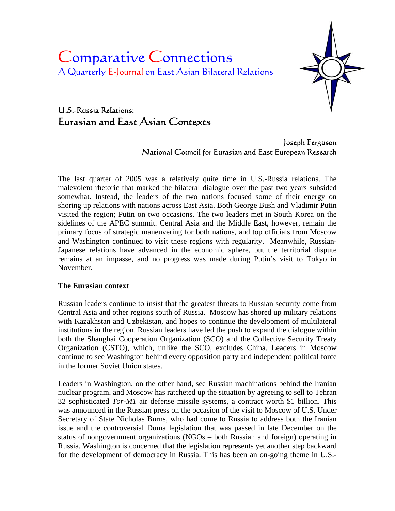# Comparative Connections A Quarterly E-Journal on East Asian Bilateral Relations



# U.S.-Russia Relations: Eurasian and East Asian Contexts

## Joseph Ferguson National Council for Eurasian and East European Research

The last quarter of 2005 was a relatively quite time in U.S.-Russia relations. The malevolent rhetoric that marked the bilateral dialogue over the past two years subsided somewhat. Instead, the leaders of the two nations focused some of their energy on shoring up relations with nations across East Asia. Both George Bush and Vladimir Putin visited the region; Putin on two occasions. The two leaders met in South Korea on the sidelines of the APEC summit. Central Asia and the Middle East, however, remain the primary focus of strategic maneuvering for both nations, and top officials from Moscow and Washington continued to visit these regions with regularity. Meanwhile, Russian-Japanese relations have advanced in the economic sphere, but the territorial dispute remains at an impasse, and no progress was made during Putin's visit to Tokyo in November.

#### **The Eurasian context**

Russian leaders continue to insist that the greatest threats to Russian security come from Central Asia and other regions south of Russia. Moscow has shored up military relations with Kazakhstan and Uzbekistan, and hopes to continue the development of multilateral institutions in the region. Russian leaders have led the push to expand the dialogue within both the Shanghai Cooperation Organization (SCO) and the Collective Security Treaty Organization (CSTO), which, unlike the SCO, excludes China. Leaders in Moscow continue to see Washington behind every opposition party and independent political force in the former Soviet Union states.

Leaders in Washington, on the other hand, see Russian machinations behind the Iranian nuclear program, and Moscow has ratcheted up the situation by agreeing to sell to Tehran 32 sophisticated *Tor-M1* air defense missile systems, a contract worth \$1 billion. This was announced in the Russian press on the occasion of the visit to Moscow of U.S. Under Secretary of State Nicholas Burns, who had come to Russia to address both the Iranian issue and the controversial Duma legislation that was passed in late December on the status of nongovernment organizations (NGOs – both Russian and foreign) operating in Russia. Washington is concerned that the legislation represents yet another step backward for the development of democracy in Russia. This has been an on-going theme in U.S.-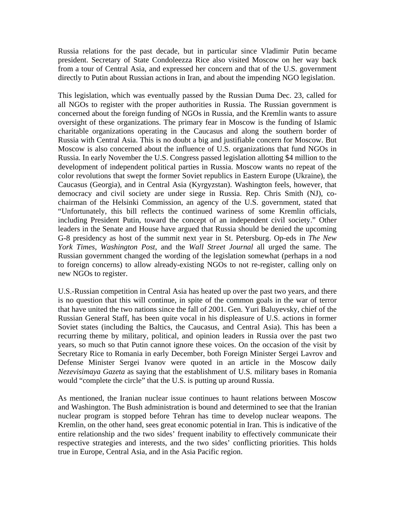Russia relations for the past decade, but in particular since Vladimir Putin became president. Secretary of State Condoleezza Rice also visited Moscow on her way back from a tour of Central Asia, and expressed her concern and that of the U.S. government directly to Putin about Russian actions in Iran, and about the impending NGO legislation.

This legislation, which was eventually passed by the Russian Duma Dec. 23, called for all NGOs to register with the proper authorities in Russia. The Russian government is concerned about the foreign funding of NGOs in Russia, and the Kremlin wants to assure oversight of these organizations. The primary fear in Moscow is the funding of Islamic charitable organizations operating in the Caucasus and along the southern border of Russia with Central Asia. This is no doubt a big and justifiable concern for Moscow. But Moscow is also concerned about the influence of U.S. organizations that fund NGOs in Russia. In early November the U.S. Congress passed legislation allotting \$4 million to the development of independent political parties in Russia. Moscow wants no repeat of the color revolutions that swept the former Soviet republics in Eastern Europe (Ukraine), the Caucasus (Georgia), and in Central Asia (Kyrgyzstan). Washington feels, however, that democracy and civil society are under siege in Russia. Rep. Chris Smith (NJ), cochairman of the Helsinki Commission, an agency of the U.S. government, stated that "Unfortunately, this bill reflects the continued wariness of some Kremlin officials, including President Putin, toward the concept of an independent civil society." Other leaders in the Senate and House have argued that Russia should be denied the upcoming G-8 presidency as host of the summit next year in St. Petersburg. Op-eds in *The New York Times*, *Washington Post*, and the *Wall Street Journal* all urged the same. The Russian government changed the wording of the legislation somewhat (perhaps in a nod to foreign concerns) to allow already-existing NGOs to not re-register, calling only on new NGOs to register.

U.S.-Russian competition in Central Asia has heated up over the past two years, and there is no question that this will continue, in spite of the common goals in the war of terror that have united the two nations since the fall of 2001. Gen. Yuri Baluyevsky, chief of the Russian General Staff, has been quite vocal in his displeasure of U.S. actions in former Soviet states (including the Baltics, the Caucasus, and Central Asia). This has been a recurring theme by military, political, and opinion leaders in Russia over the past two years, so much so that Putin cannot ignore these voices. On the occasion of the visit by Secretary Rice to Romania in early December, both Foreign Minister Sergei Lavrov and Defense Minister Sergei Ivanov were quoted in an article in the Moscow daily *Nezevisimaya Gazeta* as saying that the establishment of U.S. military bases in Romania would "complete the circle" that the U.S. is putting up around Russia.

As mentioned, the Iranian nuclear issue continues to haunt relations between Moscow and Washington. The Bush administration is bound and determined to see that the Iranian nuclear program is stopped before Tehran has time to develop nuclear weapons. The Kremlin, on the other hand, sees great economic potential in Iran. This is indicative of the entire relationship and the two sides' frequent inability to effectively communicate their respective strategies and interests, and the two sides' conflicting priorities. This holds true in Europe, Central Asia, and in the Asia Pacific region.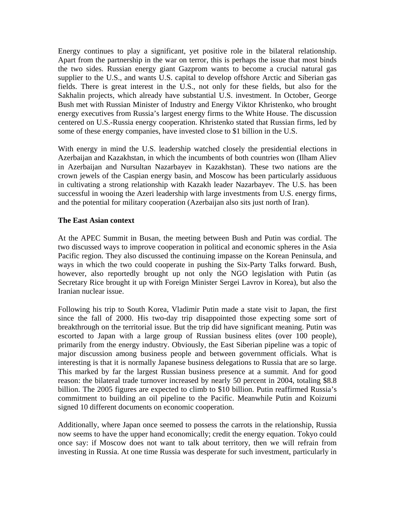Energy continues to play a significant, yet positive role in the bilateral relationship. Apart from the partnership in the war on terror, this is perhaps the issue that most binds the two sides. Russian energy giant Gazprom wants to become a crucial natural gas supplier to the U.S., and wants U.S. capital to develop offshore Arctic and Siberian gas fields. There is great interest in the U.S., not only for these fields, but also for the Sakhalin projects, which already have substantial U.S. investment. In October, George Bush met with Russian Minister of Industry and Energy Viktor Khristenko, who brought energy executives from Russia's largest energy firms to the White House. The discussion centered on U.S.-Russia energy cooperation. Khristenko stated that Russian firms, led by some of these energy companies, have invested close to \$1 billion in the U.S.

With energy in mind the U.S. leadership watched closely the presidential elections in Azerbaijan and Kazakhstan, in which the incumbents of both countries won (Ilham Aliev in Azerbaijan and Nursultan Nazarbayev in Kazakhstan). These two nations are the crown jewels of the Caspian energy basin, and Moscow has been particularly assiduous in cultivating a strong relationship with Kazakh leader Nazarbayev. The U.S. has been successful in wooing the Azeri leadership with large investments from U.S. energy firms, and the potential for military cooperation (Azerbaijan also sits just north of Iran).

#### **The East Asian context**

At the APEC Summit in Busan, the meeting between Bush and Putin was cordial. The two discussed ways to improve cooperation in political and economic spheres in the Asia Pacific region. They also discussed the continuing impasse on the Korean Peninsula, and ways in which the two could cooperate in pushing the Six-Party Talks forward. Bush, however, also reportedly brought up not only the NGO legislation with Putin (as Secretary Rice brought it up with Foreign Minister Sergei Lavrov in Korea), but also the Iranian nuclear issue.

Following his trip to South Korea, Vladimir Putin made a state visit to Japan, the first since the fall of 2000. His two-day trip disappointed those expecting some sort of breakthrough on the territorial issue. But the trip did have significant meaning. Putin was escorted to Japan with a large group of Russian business elites (over 100 people), primarily from the energy industry. Obviously, the East Siberian pipeline was a topic of major discussion among business people and between government officials. What is interesting is that it is normally Japanese business delegations to Russia that are so large. This marked by far the largest Russian business presence at a summit. And for good reason: the bilateral trade turnover increased by nearly 50 percent in 2004, totaling \$8.8 billion. The 2005 figures are expected to climb to \$10 billion. Putin reaffirmed Russia's commitment to building an oil pipeline to the Pacific. Meanwhile Putin and Koizumi signed 10 different documents on economic cooperation.

Additionally, where Japan once seemed to possess the carrots in the relationship, Russia now seems to have the upper hand economically; credit the energy equation. Tokyo could once say: if Moscow does not want to talk about territory, then we will refrain from investing in Russia. At one time Russia was desperate for such investment, particularly in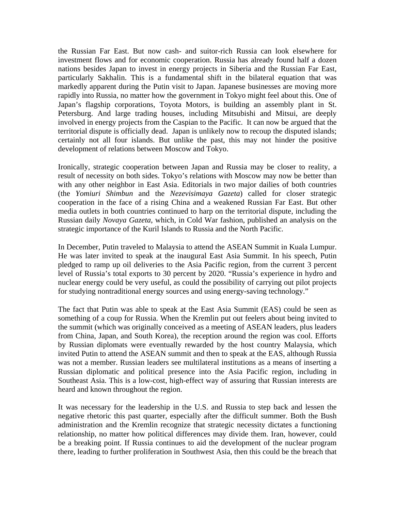the Russian Far East. But now cash- and suitor-rich Russia can look elsewhere for investment flows and for economic cooperation. Russia has already found half a dozen nations besides Japan to invest in energy projects in Siberia and the Russian Far East, particularly Sakhalin. This is a fundamental shift in the bilateral equation that was markedly apparent during the Putin visit to Japan. Japanese businesses are moving more rapidly into Russia, no matter how the government in Tokyo might feel about this. One of Japan's flagship corporations, Toyota Motors, is building an assembly plant in St. Petersburg. And large trading houses, including Mitsubishi and Mitsui, are deeply involved in energy projects from the Caspian to the Pacific. It can now be argued that the territorial dispute is officially dead. Japan is unlikely now to recoup the disputed islands; certainly not all four islands. But unlike the past, this may not hinder the positive development of relations between Moscow and Tokyo.

Ironically, strategic cooperation between Japan and Russia may be closer to reality, a result of necessity on both sides. Tokyo's relations with Moscow may now be better than with any other neighbor in East Asia. Editorials in two major dailies of both countries (the *Yomiuri Shimbun* and the *Nezevisimaya Gazeta*) called for closer strategic cooperation in the face of a rising China and a weakened Russian Far East. But other media outlets in both countries continued to harp on the territorial dispute, including the Russian daily *Novaya Gazeta*, which, in Cold War fashion, published an analysis on the strategic importance of the Kuril Islands to Russia and the North Pacific.

In December, Putin traveled to Malaysia to attend the ASEAN Summit in Kuala Lumpur. He was later invited to speak at the inaugural East Asia Summit. In his speech, Putin pledged to ramp up oil deliveries to the Asia Pacific region, from the current 3 percent level of Russia's total exports to 30 percent by 2020. "Russia's experience in hydro and nuclear energy could be very useful, as could the possibility of carrying out pilot projects for studying nontraditional energy sources and using energy-saving technology."

The fact that Putin was able to speak at the East Asia Summit (EAS) could be seen as something of a coup for Russia. When the Kremlin put out feelers about being invited to the summit (which was originally conceived as a meeting of ASEAN leaders, plus leaders from China, Japan, and South Korea), the reception around the region was cool. Efforts by Russian diplomats were eventually rewarded by the host country Malaysia, which invited Putin to attend the ASEAN summit and then to speak at the EAS, although Russia was not a member. Russian leaders see multilateral institutions as a means of inserting a Russian diplomatic and political presence into the Asia Pacific region, including in Southeast Asia. This is a low-cost, high-effect way of assuring that Russian interests are heard and known throughout the region.

It was necessary for the leadership in the U.S. and Russia to step back and lessen the negative rhetoric this past quarter, especially after the difficult summer. Both the Bush administration and the Kremlin recognize that strategic necessity dictates a functioning relationship, no matter how political differences may divide them. Iran, however, could be a breaking point. If Russia continues to aid the development of the nuclear program there, leading to further proliferation in Southwest Asia, then this could be the breach that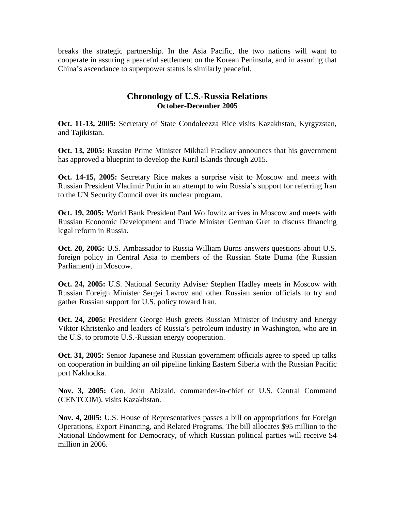breaks the strategic partnership. In the Asia Pacific, the two nations will want to cooperate in assuring a peaceful settlement on the Korean Peninsula, and in assuring that China's ascendance to superpower status is similarly peaceful.

## **Chronology of U.S.-Russia Relations October-December 2005**

**Oct. 11-13, 2005:** Secretary of State Condoleezza Rice visits Kazakhstan, Kyrgyzstan, and Tajikistan.

**Oct. 13, 2005:** Russian Prime Minister Mikhail Fradkov announces that his government has approved a blueprint to develop the Kuril Islands through 2015.

**Oct. 14-15, 2005:** Secretary Rice makes a surprise visit to Moscow and meets with Russian President Vladimir Putin in an attempt to win Russia's support for referring Iran to the UN Security Council over its nuclear program.

**Oct. 19, 2005:** World Bank President Paul Wolfowitz arrives in Moscow and meets with Russian Economic Development and Trade Minister German Gref to discuss financing legal reform in Russia.

**Oct. 20, 2005:** U.S. Ambassador to Russia William Burns answers questions about U.S. foreign policy in Central Asia to members of the Russian State Duma (the Russian Parliament) in Moscow.

**Oct. 24, 2005:** U.S. National Security Adviser Stephen Hadley meets in Moscow with Russian Foreign Minister Sergei Lavrov and other Russian senior officials to try and gather Russian support for U.S. policy toward Iran.

**Oct. 24, 2005:** President George Bush greets Russian Minister of Industry and Energy Viktor Khristenko and leaders of Russia's petroleum industry in Washington, who are in the U.S. to promote U.S.-Russian energy cooperation.

**Oct. 31, 2005:** Senior Japanese and Russian government officials agree to speed up talks on cooperation in building an oil pipeline linking Eastern Siberia with the Russian Pacific port Nakhodka.

**Nov. 3, 2005:** Gen. John Abizaid, commander-in-chief of U.S. Central Command (CENTCOM), visits Kazakhstan.

**Nov. 4, 2005:** U.S. House of Representatives passes a bill on appropriations for Foreign Operations, Export Financing, and Related Programs. The bill allocates \$95 million to the National Endowment for Democracy, of which Russian political parties will receive \$4 million in 2006.